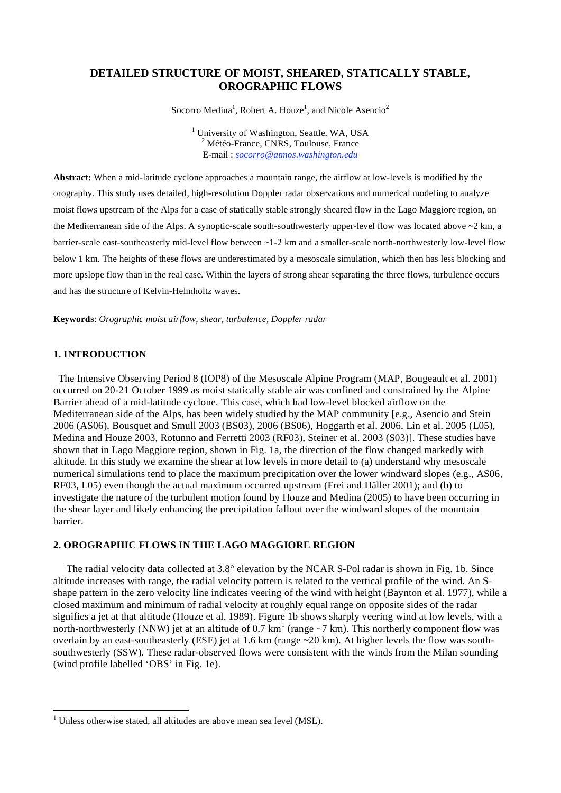# **DETAILED STRUCTURE OF MOIST, SHEARED, STATICALLY STABLE, OROGRAPHIC FLOWS**

Socorro Medina<sup>1</sup>, Robert A. Houze<sup>1</sup>, and Nicole Asencio<sup>2</sup>

<sup>1</sup> University of Washington, Seattle, WA, USA  $^{2}$  Mátás France, CNDS, Toulouse, France <sup>2</sup> Météo-France, CNRS, Toulouse, France E-mail : *socorro@atmos.washington.edu*

**Abstract:** When a mid-latitude cyclone approaches a mountain range, the airflow at low-levels is modified by the orography. This study uses detailed, high-resolution Doppler radar observations and numerical modeling to analyze moist flows upstream of the Alps for a case of statically stable strongly sheared flow in the Lago Maggiore region, on the Mediterranean side of the Alps. A synoptic-scale south-southwesterly upper-level flow was located above ~2 km, a barrier-scale east-southeasterly mid-level flow between ~1-2 km and a smaller-scale north-northwesterly low-level flow below 1 km. The heights of these flows are underestimated by a mesoscale simulation, which then has less blocking and more upslope flow than in the real case. Within the layers of strong shear separating the three flows, turbulence occurs and has the structure of Kelvin-Helmholtz waves.

**Keywords**: *Orographic moist airflow, shear, turbulence, Doppler radar* 

## **1. INTRODUCTION**

1

 The Intensive Observing Period 8 (IOP8) of the Mesoscale Alpine Program (MAP, Bougeault et al. 2001) occurred on 20-21 October 1999 as moist statically stable air was confined and constrained by the Alpine Barrier ahead of a mid-latitude cyclone. This case, which had low-level blocked airflow on the Mediterranean side of the Alps, has been widely studied by the MAP community [e.g., Asencio and Stein 2006 (AS06), Bousquet and Smull 2003 (BS03), 2006 (BS06), Hoggarth et al. 2006, Lin et al. 2005 (L05), Medina and Houze 2003, Rotunno and Ferretti 2003 (RF03), Steiner et al. 2003 (S03)]. These studies have shown that in Lago Maggiore region, shown in Fig. 1a, the direction of the flow changed markedly with altitude. In this study we examine the shear at low levels in more detail to (a) understand why mesoscale numerical simulations tend to place the maximum precipitation over the lower windward slopes (e.g., AS06, RF03, L05) even though the actual maximum occurred upstream (Frei and Häller 2001); and (b) to investigate the nature of the turbulent motion found by Houze and Medina (2005) to have been occurring in the shear layer and likely enhancing the precipitation fallout over the windward slopes of the mountain barrier.

#### **2. OROGRAPHIC FLOWS IN THE LAGO MAGGIORE REGION**

The radial velocity data collected at 3.8° elevation by the NCAR S-Pol radar is shown in Fig. 1b. Since altitude increases with range, the radial velocity pattern is related to the vertical profile of the wind. An Sshape pattern in the zero velocity line indicates veering of the wind with height (Baynton et al. 1977), while a closed maximum and minimum of radial velocity at roughly equal range on opposite sides of the radar signifies a jet at that altitude (Houze et al. 1989). Figure 1b shows sharply veering wind at low levels, with a north-northwesterly (NNW) jet at an altitude of  $0.7 \text{ km}^1$  (range  $\sim$ 7 km). This northerly component flow was overlain by an east-southeasterly (ESE) jet at 1.6 km (range ~20 km). At higher levels the flow was southsouthwesterly (SSW). These radar-observed flows were consistent with the winds from the Milan sounding (wind profile labelled 'OBS' in Fig. 1e).

 $<sup>1</sup>$  Unless otherwise stated, all altitudes are above mean sea level (MSL).</sup>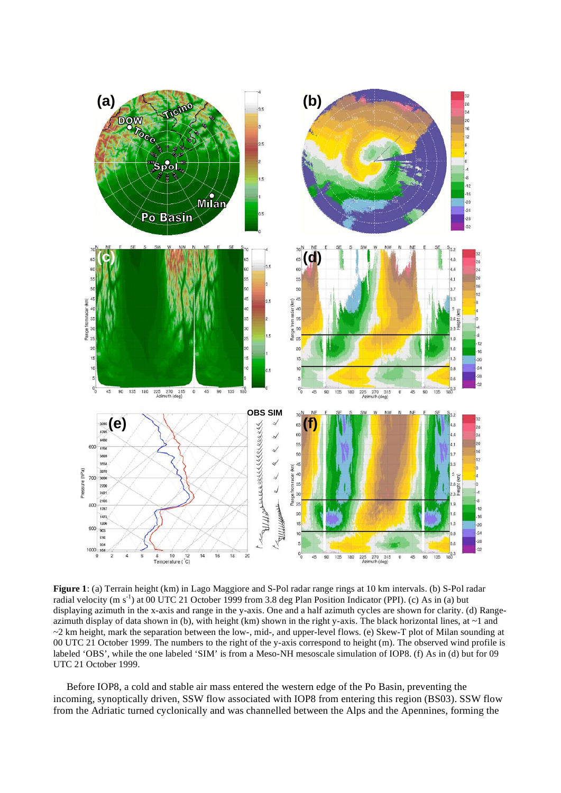

**Figure 1**: (a) Terrain height (km) in Lago Maggiore and S-Pol radar range rings at 10 km intervals. (b) S-Pol radar radial velocity (m s<sup>-1</sup>) at 00 UTC 21 October 1999 from 3.8 deg Plan Position Indicator (PPI). (c) As in (a) but displaying azimuth in the x-axis and range in the y-axis. One and a half azimuth cycles are shown for clarity. (d) Rangeazimuth display of data shown in (b), with height (km) shown in the right y-axis. The black horizontal lines, at  $\sim$ 1 and  $\sim$ 2 km height, mark the separation between the low-, mid-, and upper-level flows. (e) Skew-T plot of Milan sounding at 00 UTC 21 October 1999. The numbers to the right of the y-axis correspond to height (m). The observed wind profile is labeled 'OBS', while the one labeled 'SIM' is from a Meso-NH mesoscale simulation of IOP8. (f) As in (d) but for 09 UTC 21 October 1999.

Before IOP8, a cold and stable air mass entered the western edge of the Po Basin, preventing the incoming, synoptically driven, SSW flow associated with IOP8 from entering this region (BS03). SSW flow from the Adriatic turned cyclonically and was channelled between the Alps and the Apennines, forming the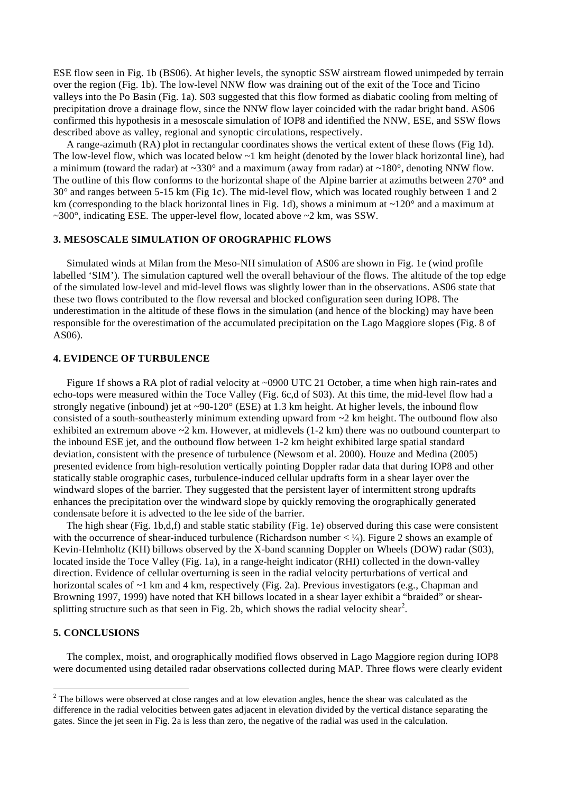ESE flow seen in Fig. 1b (BS06). At higher levels, the synoptic SSW airstream flowed unimpeded by terrain over the region (Fig. 1b). The low-level NNW flow was draining out of the exit of the Toce and Ticino valleys into the Po Basin (Fig. 1a). S03 suggested that this flow formed as diabatic cooling from melting of precipitation drove a drainage flow, since the NNW flow layer coincided with the radar bright band. AS06 confirmed this hypothesis in a mesoscale simulation of IOP8 and identified the NNW, ESE, and SSW flows described above as valley, regional and synoptic circulations, respectively.

A range-azimuth (RA) plot in rectangular coordinates shows the vertical extent of these flows (Fig 1d). The low-level flow, which was located below ~1 km height (denoted by the lower black horizontal line), had a minimum (toward the radar) at  $\sim$ 330° and a maximum (away from radar) at  $\sim$ 180°, denoting NNW flow. The outline of this flow conforms to the horizontal shape of the Alpine barrier at azimuths between 270° and 30° and ranges between 5-15 km (Fig 1c). The mid-level flow, which was located roughly between 1 and 2 km (corresponding to the black horizontal lines in Fig. 1d), shows a minimum at  $\sim$ 120 $\degree$  and a maximum at  $\sim$ 300 $^{\circ}$ , indicating ESE. The upper-level flow, located above  $\sim$ 2 km, was SSW.

#### **3. MESOSCALE SIMULATION OF OROGRAPHIC FLOWS**

Simulated winds at Milan from the Meso-NH simulation of AS06 are shown in Fig. 1e (wind profile labelled 'SIM'). The simulation captured well the overall behaviour of the flows. The altitude of the top edge of the simulated low-level and mid-level flows was slightly lower than in the observations. AS06 state that these two flows contributed to the flow reversal and blocked configuration seen during IOP8. The underestimation in the altitude of these flows in the simulation (and hence of the blocking) may have been responsible for the overestimation of the accumulated precipitation on the Lago Maggiore slopes (Fig. 8 of AS06).

### **4. EVIDENCE OF TURBULENCE**

Figure 1f shows a RA plot of radial velocity at ~0900 UTC 21 October, a time when high rain-rates and echo-tops were measured within the Toce Valley (Fig. 6c,d of S03). At this time, the mid-level flow had a strongly negative (inbound) jet at  $\sim 90-120^\circ$  (ESE) at 1.3 km height. At higher levels, the inbound flow consisted of a south-southeasterly minimum extending upward from  $\sim$ 2 km height. The outbound flow also exhibited an extremum above  $\sim$  2 km. However, at midlevels (1-2 km) there was no outbound counterpart to the inbound ESE jet, and the outbound flow between 1-2 km height exhibited large spatial standard deviation, consistent with the presence of turbulence (Newsom et al. 2000). Houze and Medina (2005) presented evidence from high-resolution vertically pointing Doppler radar data that during IOP8 and other statically stable orographic cases, turbulence-induced cellular updrafts form in a shear layer over the windward slopes of the barrier. They suggested that the persistent layer of intermittent strong updrafts enhances the precipitation over the windward slope by quickly removing the orographically generated condensate before it is advected to the lee side of the barrier.

The high shear (Fig. 1b,d,f) and stable static stability (Fig. 1e) observed during this case were consistent with the occurrence of shear-induced turbulence (Richardson number  $\langle \frac{1}{4} \rangle$ ). Figure 2 shows an example of Kevin-Helmholtz (KH) billows observed by the X-band scanning Doppler on Wheels (DOW) radar (S03), located inside the Toce Valley (Fig. 1a), in a range-height indicator (RHI) collected in the down-valley direction. Evidence of cellular overturning is seen in the radial velocity perturbations of vertical and horizontal scales of ~1 km and 4 km, respectively (Fig. 2a). Previous investigators (e.g., Chapman and Browning 1997, 1999) have noted that KH billows located in a shear layer exhibit a "braided" or shearsplitting structure such as that seen in Fig. 2b, which shows the radial velocity shear<sup>2</sup>.

#### **5. CONCLUSIONS**

The complex, moist, and orographically modified flows observed in Lago Maggiore region during IOP8 were documented using detailed radar observations collected during MAP. Three flows were clearly evident

<sup>&</sup>lt;sup>2</sup> The billows were observed at close ranges and at low elevation angles, hence the shear was calculated as the difference in the radial velocities between gates adjacent in elevation divided by the vertical distance separating the gates. Since the jet seen in Fig. 2a is less than zero, the negative of the radial was used in the calculation.